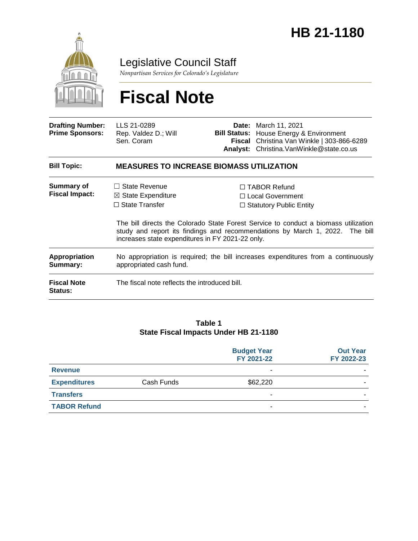

## Legislative Council Staff

*Nonpartisan Services for Colorado's Legislature*

# **Fiscal Note**

| <b>Drafting Number:</b><br><b>Prime Sponsors:</b> | LLS 21-0289<br>Rep. Valdez D.; Will<br>Sen. Coram                                                                                                                                                                       |  | <b>Date:</b> March 11, 2021<br><b>Bill Status:</b> House Energy & Environment<br>Fiscal Christina Van Winkle   303-866-6289<br>Analyst: Christina.VanWinkle@state.co.us |  |  |
|---------------------------------------------------|-------------------------------------------------------------------------------------------------------------------------------------------------------------------------------------------------------------------------|--|-------------------------------------------------------------------------------------------------------------------------------------------------------------------------|--|--|
| <b>Bill Topic:</b>                                | <b>MEASURES TO INCREASE BIOMASS UTILIZATION</b>                                                                                                                                                                         |  |                                                                                                                                                                         |  |  |
| <b>Summary of</b><br><b>Fiscal Impact:</b>        | $\Box$ State Revenue<br>$\boxtimes$ State Expenditure<br>$\Box$ State Transfer                                                                                                                                          |  | $\Box$ TABOR Refund<br>□ Local Government<br>$\Box$ Statutory Public Entity                                                                                             |  |  |
|                                                   | The bill directs the Colorado State Forest Service to conduct a biomass utilization<br>study and report its findings and recommendations by March 1, 2022. The bill<br>increases state expenditures in FY 2021-22 only. |  |                                                                                                                                                                         |  |  |
| <b>Appropriation</b><br>Summary:                  | No appropriation is required; the bill increases expenditures from a continuously<br>appropriated cash fund.                                                                                                            |  |                                                                                                                                                                         |  |  |
| <b>Fiscal Note</b><br><b>Status:</b>              | The fiscal note reflects the introduced bill.                                                                                                                                                                           |  |                                                                                                                                                                         |  |  |

#### **Table 1 State Fiscal Impacts Under HB 21-1180**

|                     |            | <b>Budget Year</b><br>FY 2021-22 | <b>Out Year</b><br>FY 2022-23 |
|---------------------|------------|----------------------------------|-------------------------------|
| <b>Revenue</b>      |            | -                                |                               |
| <b>Expenditures</b> | Cash Funds | \$62,220                         |                               |
| <b>Transfers</b>    |            | -                                |                               |
| <b>TABOR Refund</b> |            |                                  |                               |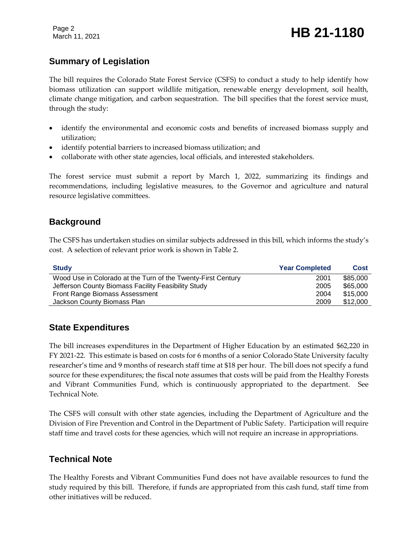Page 2

### **Summary of Legislation**

The bill requires the Colorado State Forest Service (CSFS) to conduct a study to help identify how biomass utilization can support wildlife mitigation, renewable energy development, soil health, climate change mitigation, and carbon sequestration. The bill specifies that the forest service must, through the study:

- identify the environmental and economic costs and benefits of increased biomass supply and utilization;
- identify potential barriers to increased biomass utilization; and
- collaborate with other state agencies, local officials, and interested stakeholders.

The forest service must submit a report by March 1, 2022, summarizing its findings and recommendations, including legislative measures, to the Governor and agriculture and natural resource legislative committees.

#### **Background**

The CSFS has undertaken studies on similar subjects addressed in this bill, which informs the study's cost. A selection of relevant prior work is shown in Table 2.

| <b>Study</b>                                                 | <b>Year Completed</b> | <b>Cost</b> |
|--------------------------------------------------------------|-----------------------|-------------|
| Wood Use in Colorado at the Turn of the Twenty-First Century | 2001                  | \$85,000    |
| Jefferson County Biomass Facility Feasibility Study          | 2005                  | \$65,000    |
| Front Range Biomass Assessment                               | 2004                  | \$15,000    |
| Jackson County Biomass Plan                                  | 2009                  | \$12,000    |

#### **State Expenditures**

The bill increases expenditures in the Department of Higher Education by an estimated \$62,220 in FY 2021-22. This estimate is based on costs for 6 months of a senior Colorado State University faculty researcher's time and 9 months of research staff time at \$18 per hour. The bill does not specify a fund source for these expenditures; the fiscal note assumes that costs will be paid from the Healthy Forests and Vibrant Communities Fund, which is continuously appropriated to the department. See Technical Note.

The CSFS will consult with other state agencies, including the Department of Agriculture and the Division of Fire Prevention and Control in the Department of Public Safety. Participation will require staff time and travel costs for these agencies, which will not require an increase in appropriations.

#### **Technical Note**

The Healthy Forests and Vibrant Communities Fund does not have available resources to fund the study required by this bill. Therefore, if funds are appropriated from this cash fund, staff time from other initiatives will be reduced.